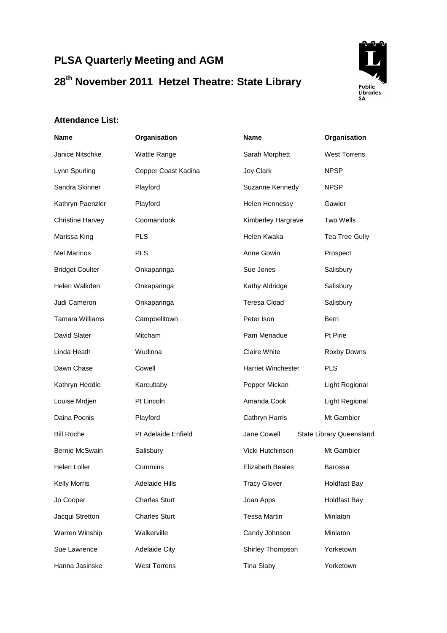## **PLSA Quarterly Meeting and AGM 28th November 2011 Hetzel Theatre: State Library**



## **Attendance List:**

| <b>Name</b>             | Organisation         | Name                      | Organisation             |
|-------------------------|----------------------|---------------------------|--------------------------|
| Janice Nitschke         | Wattle Range         | Sarah Morphett            | <b>West Torrens</b>      |
| Lynn Spurling           | Copper Coast Kadina  | Joy Clark                 | <b>NPSP</b>              |
| Sandra Skinner          | Playford             | Suzanne Kennedy           | <b>NPSP</b>              |
| Kathryn Paenzler        | Playford             | Helen Hennessy            | Gawler                   |
| <b>Christine Harvey</b> | Coomandook           | Kimberley Hargrave        | Two Wells                |
| Marissa King            | <b>PLS</b>           | Helen Kwaka               | <b>Tea Tree Gully</b>    |
| <b>Mel Marinos</b>      | <b>PLS</b>           | Anne Gowin                | Prospect                 |
| <b>Bridget Coulter</b>  | Onkaparinga          | Sue Jones                 | Salisbury                |
| Helen Walkden           | Onkaparinga          | Kathy Aldridge            | Salisbury                |
| Judi Cameron            | Onkaparinga          | <b>Teresa Cload</b>       | Salisbury                |
| <b>Tamara Williams</b>  | Campbelltown         | Peter Ison                | Berri                    |
| David Slater            | <b>Mitcham</b>       | Pam Menadue               | Pt Pirie                 |
| Linda Heath             | Wudinna              | Claire White              | Roxby Downs              |
| Dawn Chase              | Cowell               | <b>Harriet Winchester</b> | <b>PLS</b>               |
| Kathryn Heddle          | Karcultaby           | Pepper Mickan             | Light Regional           |
| Louise Mrdjen           | Pt Lincoln           | Amanda Cook               | Light Regional           |
| Daina Pocnis            | Playford             | Cathryn Harris            | Mt Gambier               |
| <b>Bill Roche</b>       | Pt Adelaide Enfield  | Jane Cowell               | State Library Queensland |
| Bernie McSwain          | Salisbury            | Vicki Hutchinson          | Mt Gambier               |
| Helen Loller            | Cummins              | <b>Elizabeth Beales</b>   | Barossa                  |
| Kelly Morris            | Adelaide Hills       | <b>Tracy Glover</b>       | <b>Holdfast Bay</b>      |
| Jo Cooper               | <b>Charles Sturt</b> | Joan Apps                 | <b>Holdfast Bay</b>      |
| Jacqui Stretton         | <b>Charles Sturt</b> | <b>Tessa Martin</b>       | Minlaton                 |
| Warren Winship          | Walkerville          | Candy Johnson             | Minlaton                 |
| Sue Lawrence            | <b>Adelaide City</b> | Shirley Thompson          | Yorketown                |
| Hanna Jasinske          | <b>West Torrens</b>  | <b>Tina Slaby</b>         | Yorketown                |